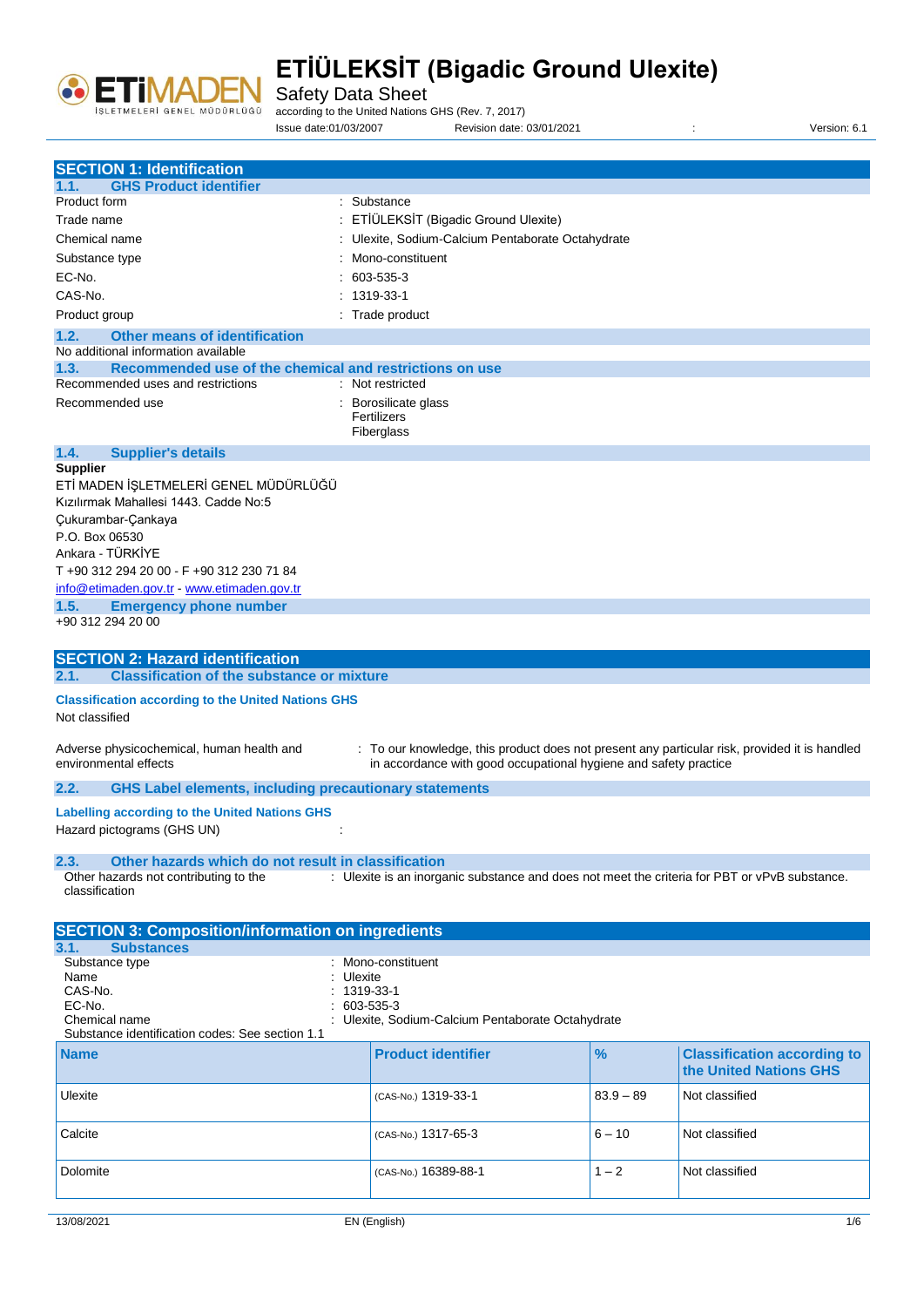

Safety Data Sheet

according to the United Nations GHS (Rev. 7, 2017)

Issue date:01/03/2007 Revision date: 03/01/2021 : Version: 6.1

| <b>SECTION 1: Identification</b>                                                      |                                                                                                                                                                   |               |                                                              |
|---------------------------------------------------------------------------------------|-------------------------------------------------------------------------------------------------------------------------------------------------------------------|---------------|--------------------------------------------------------------|
| <b>GHS Product identifier</b><br>1.1.                                                 |                                                                                                                                                                   |               |                                                              |
| Product form                                                                          | : Substance                                                                                                                                                       |               |                                                              |
| Trade name                                                                            | ETİÜLEKSİT (Bigadic Ground Ulexite)                                                                                                                               |               |                                                              |
| Chemical name                                                                         | : Ulexite, Sodium-Calcium Pentaborate Octahydrate                                                                                                                 |               |                                                              |
| Substance type                                                                        | Mono-constituent                                                                                                                                                  |               |                                                              |
| EC-No.                                                                                | 603-535-3                                                                                                                                                         |               |                                                              |
| CAS-No.                                                                               | $: 1319-33-1$                                                                                                                                                     |               |                                                              |
| Product group                                                                         | : Trade product                                                                                                                                                   |               |                                                              |
| 1.2.<br><b>Other means of identification</b>                                          |                                                                                                                                                                   |               |                                                              |
| No additional information available                                                   |                                                                                                                                                                   |               |                                                              |
| 1.3.<br>Recommended use of the chemical and restrictions on use                       |                                                                                                                                                                   |               |                                                              |
| Recommended uses and restrictions                                                     | : Not restricted                                                                                                                                                  |               |                                                              |
| Recommended use                                                                       | : Borosilicate glass<br>Fertilizers                                                                                                                               |               |                                                              |
|                                                                                       | Fiberglass                                                                                                                                                        |               |                                                              |
| 1.4.<br><b>Supplier's details</b><br><b>Supplier</b>                                  |                                                                                                                                                                   |               |                                                              |
| ETİ MADEN İŞLETMELERİ GENEL MÜDÜRLÜĞÜ                                                 |                                                                                                                                                                   |               |                                                              |
| Kızılırmak Mahallesi 1443. Cadde No:5                                                 |                                                                                                                                                                   |               |                                                              |
| Çukurambar-Çankaya                                                                    |                                                                                                                                                                   |               |                                                              |
| P.O. Box 06530                                                                        |                                                                                                                                                                   |               |                                                              |
| Ankara - TÜRKİYE                                                                      |                                                                                                                                                                   |               |                                                              |
| T +90 312 294 20 00 - F +90 312 230 71 84                                             |                                                                                                                                                                   |               |                                                              |
| info@etimaden.gov.tr - www.etimaden.gov.tr                                            |                                                                                                                                                                   |               |                                                              |
| 1.5.<br><b>Emergency phone number</b>                                                 |                                                                                                                                                                   |               |                                                              |
| +90 312 294 20 00                                                                     |                                                                                                                                                                   |               |                                                              |
| <b>SECTION 2: Hazard identification</b>                                               |                                                                                                                                                                   |               |                                                              |
| <b>Classification of the substance or mixture</b><br>2.1.                             |                                                                                                                                                                   |               |                                                              |
| <b>Classification according to the United Nations GHS</b>                             |                                                                                                                                                                   |               |                                                              |
| Not classified                                                                        |                                                                                                                                                                   |               |                                                              |
| Adverse physicochemical, human health and<br>environmental effects                    | : To our knowledge, this product does not present any particular risk, provided it is handled<br>in accordance with good occupational hygiene and safety practice |               |                                                              |
| <b>GHS Label elements, including precautionary statements</b><br>2.2.                 |                                                                                                                                                                   |               |                                                              |
| <b>Labelling according to the United Nations GHS</b><br>Hazard pictograms (GHS UN)    |                                                                                                                                                                   |               |                                                              |
| Other hazards which do not result in classification<br>2.3.                           |                                                                                                                                                                   |               |                                                              |
| Other hazards not contributing to the                                                 | : Ulexite is an inorganic substance and does not meet the criteria for PBT or vPvB substance.                                                                     |               |                                                              |
| classification                                                                        |                                                                                                                                                                   |               |                                                              |
|                                                                                       |                                                                                                                                                                   |               |                                                              |
| <b>SECTION 3: Composition/information on ingredients</b><br>3.1.<br><b>Substances</b> |                                                                                                                                                                   |               |                                                              |
| Substance type                                                                        | : Mono-constituent                                                                                                                                                |               |                                                              |
| Name                                                                                  | Ulexite                                                                                                                                                           |               |                                                              |
| CAS-No.                                                                               | 1319-33-1                                                                                                                                                         |               |                                                              |
| EC-No.<br>Chemical name                                                               | 603-535-3                                                                                                                                                         |               |                                                              |
| Substance identification codes: See section 1.1                                       | Ulexite, Sodium-Calcium Pentaborate Octahydrate                                                                                                                   |               |                                                              |
| <b>Name</b>                                                                           | <b>Product identifier</b>                                                                                                                                         | $\frac{9}{6}$ | <b>Classification according to</b><br>the United Nations GHS |
| Ulexite                                                                               | (CAS-No.) 1319-33-1                                                                                                                                               | $83.9 - 89$   | Not classified                                               |
| Calcite                                                                               | (CAS-No.) 1317-65-3                                                                                                                                               | $6 - 10$      | Not classified                                               |
| Dolomite                                                                              | (CAS-No.) 16389-88-1                                                                                                                                              | $1 - 2$       | Not classified                                               |
|                                                                                       |                                                                                                                                                                   |               |                                                              |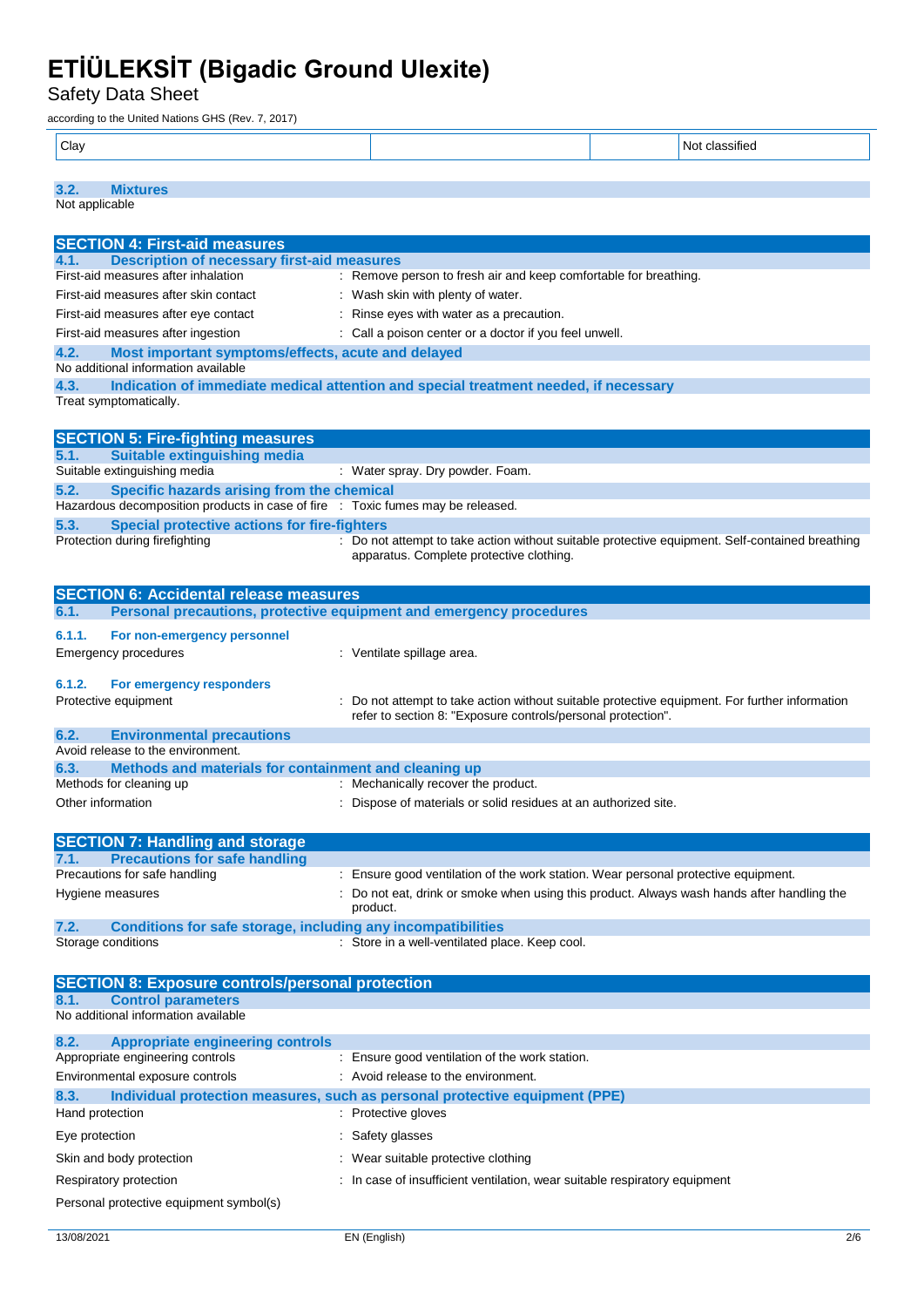Safety Data Sheet

according to the United Nations GHS (Rev. 7, 2017)

| $ $ Clay |  | $\sim$ 44<br>N۱<br>`ITIAL |
|----------|--|---------------------------|
|          |  |                           |

### **3.2. Mixtures**

Not applicable

| <b>SECTION 4: First-aid measures</b>                                                              |                                                                                                                                             |
|---------------------------------------------------------------------------------------------------|---------------------------------------------------------------------------------------------------------------------------------------------|
| <b>Description of necessary first-aid measures</b><br>4.1.                                        |                                                                                                                                             |
| First-aid measures after inhalation                                                               | : Remove person to fresh air and keep comfortable for breathing.                                                                            |
| First-aid measures after skin contact                                                             | : Wash skin with plenty of water.                                                                                                           |
| First-aid measures after eye contact                                                              | : Rinse eyes with water as a precaution.                                                                                                    |
| First-aid measures after ingestion                                                                | : Call a poison center or a doctor if you feel unwell.                                                                                      |
|                                                                                                   |                                                                                                                                             |
| 4.2.<br>Most important symptoms/effects, acute and delayed<br>No additional information available |                                                                                                                                             |
| 4.3.                                                                                              | Indication of immediate medical attention and special treatment needed, if necessary                                                        |
| Treat symptomatically.                                                                            |                                                                                                                                             |
|                                                                                                   |                                                                                                                                             |
| <b>SECTION 5: Fire-fighting measures</b>                                                          |                                                                                                                                             |
| <b>Suitable extinguishing media</b><br>5.1.<br>Suitable extinguishing media                       | : Water spray. Dry powder. Foam.                                                                                                            |
| 5.2.<br>Specific hazards arising from the chemical                                                |                                                                                                                                             |
| Hazardous decomposition products in case of fire : Toxic fumes may be released.                   |                                                                                                                                             |
| 5.3.<br><b>Special protective actions for fire-fighters</b>                                       |                                                                                                                                             |
| Protection during firefighting                                                                    | : Do not attempt to take action without suitable protective equipment. Self-contained breathing<br>apparatus. Complete protective clothing. |
|                                                                                                   |                                                                                                                                             |
| <b>SECTION 6: Accidental release measures</b>                                                     |                                                                                                                                             |
| 6.1.                                                                                              | Personal precautions, protective equipment and emergency procedures                                                                         |
| 6.1.1.<br>For non-emergency personnel                                                             |                                                                                                                                             |
| <b>Emergency procedures</b>                                                                       | : Ventilate spillage area.                                                                                                                  |
|                                                                                                   |                                                                                                                                             |
| 6.1.2.<br>For emergency responders                                                                |                                                                                                                                             |
| Protective equipment                                                                              | Do not attempt to take action without suitable protective equipment. For further information                                                |
|                                                                                                   | refer to section 8: "Exposure controls/personal protection".                                                                                |
| 6.2.<br><b>Environmental precautions</b>                                                          |                                                                                                                                             |
| Avoid release to the environment.                                                                 |                                                                                                                                             |
| Methods and materials for containment and cleaning up<br>6.3.                                     |                                                                                                                                             |
| Methods for cleaning up                                                                           | : Mechanically recover the product.                                                                                                         |
| Other information                                                                                 |                                                                                                                                             |
|                                                                                                   | Dispose of materials or solid residues at an authorized site.                                                                               |
|                                                                                                   |                                                                                                                                             |
| <b>SECTION 7: Handling and storage</b>                                                            |                                                                                                                                             |
| <b>Precautions for safe handling</b><br>7.1.                                                      |                                                                                                                                             |
| Precautions for safe handling                                                                     | : Ensure good ventilation of the work station. Wear personal protective equipment.                                                          |
| Hygiene measures                                                                                  | Do not eat, drink or smoke when using this product. Always wash hands after handling the                                                    |
|                                                                                                   | product.                                                                                                                                    |
| <b>Conditions for safe storage, including any incompatibilities</b><br>7.2.                       |                                                                                                                                             |
| Storage conditions                                                                                | : Store in a well-ventilated place. Keep cool.                                                                                              |
|                                                                                                   |                                                                                                                                             |
| <b>SECTION 8: Exposure controls/personal protection</b>                                           |                                                                                                                                             |
| <b>Control parameters</b><br>8.1.                                                                 |                                                                                                                                             |
| No additional information available                                                               |                                                                                                                                             |
|                                                                                                   |                                                                                                                                             |
| 8.2.<br><b>Appropriate engineering controls</b>                                                   |                                                                                                                                             |
| Appropriate engineering controls                                                                  | : Ensure good ventilation of the work station.                                                                                              |
| Environmental exposure controls                                                                   | : Avoid release to the environment.                                                                                                         |
| 8.3.                                                                                              | Individual protection measures, such as personal protective equipment (PPE)                                                                 |
| Hand protection                                                                                   | : Protective gloves                                                                                                                         |
|                                                                                                   |                                                                                                                                             |
| Eye protection                                                                                    | : Safety glasses                                                                                                                            |
| Skin and body protection                                                                          | Wear suitable protective clothing                                                                                                           |
| Respiratory protection                                                                            | : In case of insufficient ventilation, wear suitable respiratory equipment                                                                  |
| Personal protective equipment symbol(s)                                                           |                                                                                                                                             |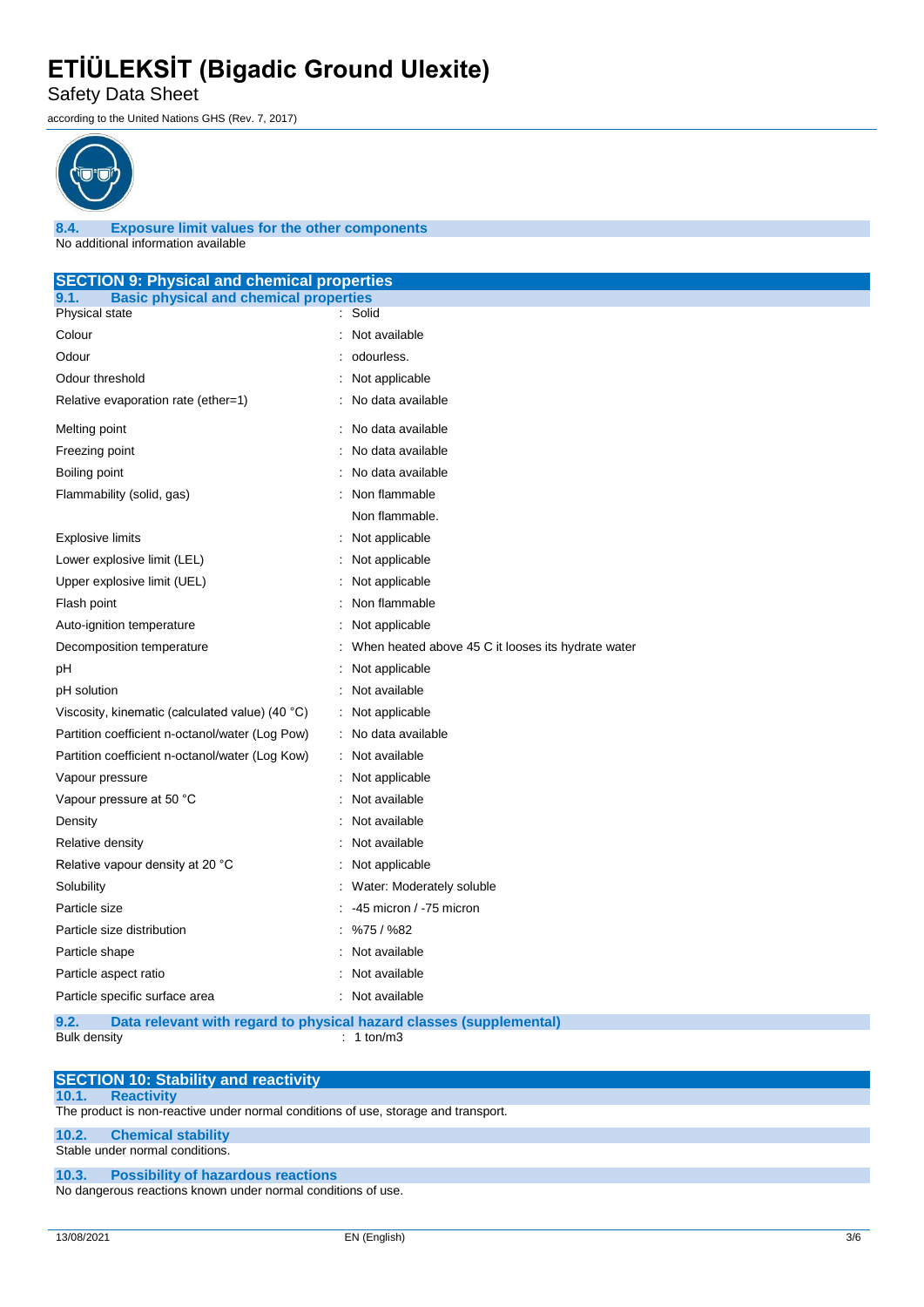Safety Data Sheet

according to the United Nations GHS (Rev. 7, 2017)



**8.4. Exposure limit values for the other components** No additional information available

| <b>SECTION 9: Physical and chemical properties</b>    |                                                                     |  |
|-------------------------------------------------------|---------------------------------------------------------------------|--|
| <b>Basic physical and chemical properties</b><br>9.1. |                                                                     |  |
| Physical state                                        | : Solid                                                             |  |
| Colour                                                | Not available                                                       |  |
| Odour                                                 | odourless.                                                          |  |
| Odour threshold                                       | Not applicable                                                      |  |
| Relative evaporation rate (ether=1)                   | No data available                                                   |  |
| Melting point                                         | No data available                                                   |  |
| Freezing point                                        | No data available                                                   |  |
| Boiling point                                         | No data available                                                   |  |
| Flammability (solid, gas)                             | Non flammable                                                       |  |
|                                                       | Non flammable.                                                      |  |
| <b>Explosive limits</b>                               | : Not applicable                                                    |  |
| Lower explosive limit (LEL)                           | : Not applicable                                                    |  |
| Upper explosive limit (UEL)                           | Not applicable                                                      |  |
| Flash point                                           | Non flammable                                                       |  |
| Auto-ignition temperature                             | Not applicable                                                      |  |
| Decomposition temperature                             | When heated above 45 C it looses its hydrate water                  |  |
| рH                                                    | Not applicable                                                      |  |
| pH solution                                           | : Not available                                                     |  |
| Viscosity, kinematic (calculated value) (40 °C)       | : Not applicable                                                    |  |
| Partition coefficient n-octanol/water (Log Pow)       | : No data available                                                 |  |
| Partition coefficient n-octanol/water (Log Kow)       | : Not available                                                     |  |
| Vapour pressure                                       | : Not applicable                                                    |  |
| Vapour pressure at 50 °C                              | Not available                                                       |  |
| Density                                               | Not available                                                       |  |
| Relative density                                      | Not available                                                       |  |
| Relative vapour density at 20 °C                      | Not applicable                                                      |  |
| Solubility                                            | Water: Moderately soluble                                           |  |
| Particle size                                         | -45 micron / -75 micron                                             |  |
| Particle size distribution                            | %75/%82                                                             |  |
| Particle shape                                        | Not available                                                       |  |
| Not available<br>Particle aspect ratio                |                                                                     |  |
| Particle specific surface area                        | : Not available                                                     |  |
| 9.2.                                                  | Data relevant with regard to physical hazard classes (supplemental) |  |

Bulk density : 1 ton/m3

|       | <b>SECTION 10: Stability and reactivity</b>                                        |
|-------|------------------------------------------------------------------------------------|
| 10.1. | <b>Reactivity</b>                                                                  |
|       | The product is non-reactive under normal conditions of use, storage and transport. |
|       | 10.2. Chemical stability                                                           |
|       | Stable under normal conditions.                                                    |
|       | 10.3. Possibility of hazardous reactions                                           |
|       | No dangerous reactions known under normal conditions of use.                       |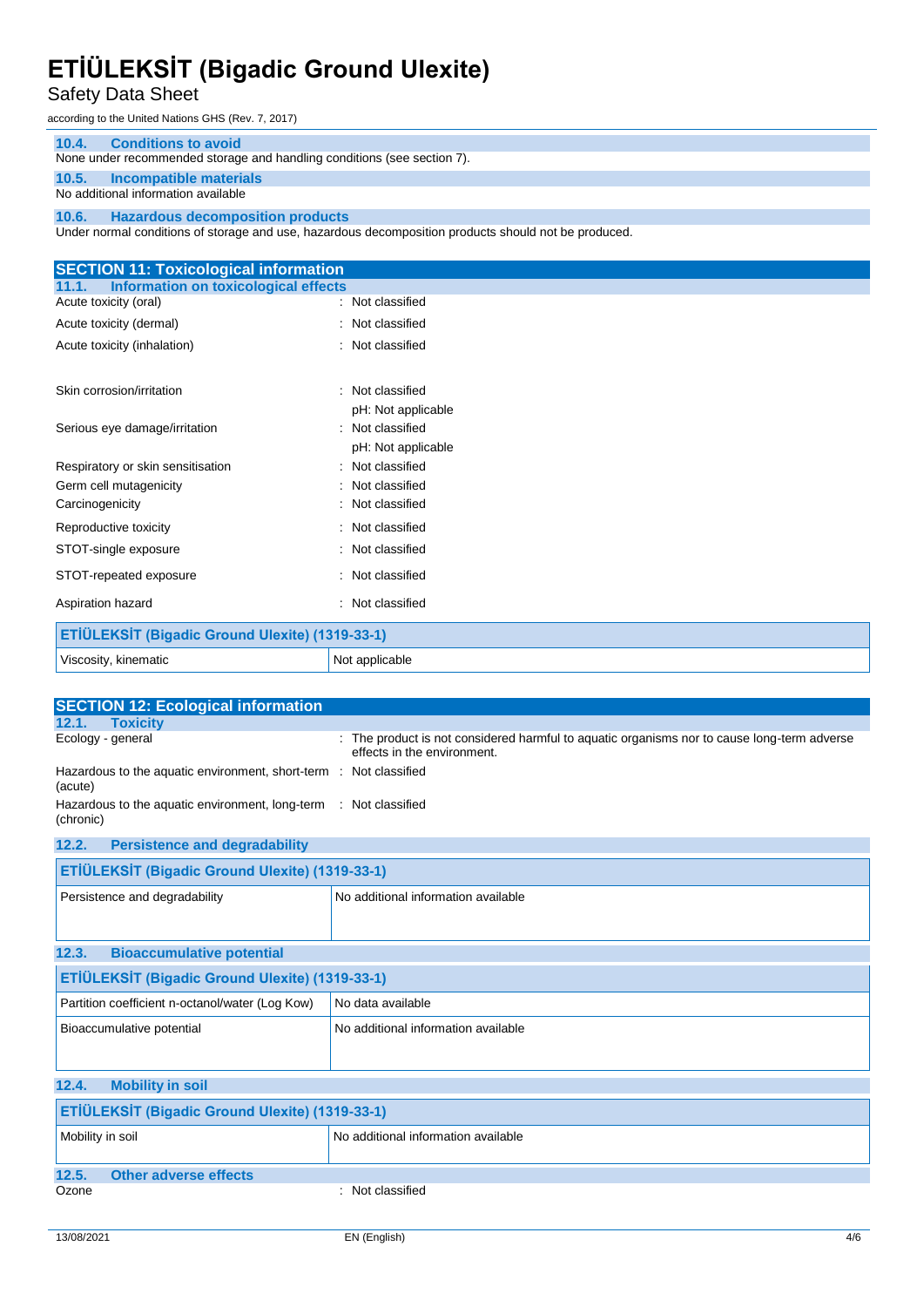### Safety Data Sheet

according to the United Nations GHS (Rev. 7, 2017)

#### **10.4. Conditions to avoid**

None under recommended storage and handling conditions (see section 7).

#### **10.5. Incompatible materials** No additional information available

#### **10.6. Hazardous decomposition products**

Under normal conditions of storage and use, hazardous decomposition products should not be produced.

| <b>SECTION 11: Toxicological information</b>    |                     |  |
|-------------------------------------------------|---------------------|--|
| Information on toxicological effects<br>11.1.   |                     |  |
| Acute toxicity (oral)                           | : Not classified    |  |
| Acute toxicity (dermal)                         | : Not classified    |  |
| Acute toxicity (inhalation)                     | Not classified      |  |
|                                                 |                     |  |
| Skin corrosion/irritation                       | Not classified      |  |
|                                                 | pH: Not applicable  |  |
| Serious eye damage/irritation                   | Not classified<br>٠ |  |
|                                                 | pH: Not applicable  |  |
| Respiratory or skin sensitisation               | Not classified<br>٠ |  |
| Germ cell mutagenicity                          | Not classified      |  |
| Carcinogenicity                                 | Not classified      |  |
| Reproductive toxicity                           | : Not classified    |  |
| STOT-single exposure                            | : Not classified    |  |
| STOT-repeated exposure                          | : Not classified    |  |
| Aspiration hazard                               | Not classified      |  |
| ETİÜLEKSİT (Bigadic Ground Ulexite) (1319-33-1) |                     |  |
| Viscosity, kinematic                            | Not applicable      |  |

| <b>SECTION 12: Ecological information</b>                                     |                                                                                                                            |  |  |  |
|-------------------------------------------------------------------------------|----------------------------------------------------------------------------------------------------------------------------|--|--|--|
| <b>Toxicity</b><br>12.1.                                                      |                                                                                                                            |  |  |  |
| Ecology - general                                                             | : The product is not considered harmful to aquatic organisms nor to cause long-term adverse<br>effects in the environment. |  |  |  |
| (acute)                                                                       | Hazardous to the aquatic environment, short-term : Not classified                                                          |  |  |  |
| Hazardous to the aquatic environment, long-term : Not classified<br>(chronic) |                                                                                                                            |  |  |  |
| 12.2.<br><b>Persistence and degradability</b>                                 |                                                                                                                            |  |  |  |
| ETİÜLEKSİT (Bigadic Ground Ulexite) (1319-33-1)                               |                                                                                                                            |  |  |  |
| Persistence and degradability                                                 | No additional information available                                                                                        |  |  |  |
| 12.3.<br><b>Bioaccumulative potential</b>                                     |                                                                                                                            |  |  |  |
| ETİÜLEKSİT (Bigadic Ground Ulexite) (1319-33-1)                               |                                                                                                                            |  |  |  |
| Partition coefficient n-octanol/water (Log Kow)                               | No data available                                                                                                          |  |  |  |
| Bioaccumulative potential                                                     | No additional information available                                                                                        |  |  |  |
| <b>Mobility in soil</b><br>12.4.                                              |                                                                                                                            |  |  |  |
| ETİÜLEKSİT (Bigadic Ground Ulexite) (1319-33-1)                               |                                                                                                                            |  |  |  |
| Mobility in soil                                                              | No additional information available                                                                                        |  |  |  |
| 12.5.<br><b>Other adverse effects</b>                                         |                                                                                                                            |  |  |  |
| Ozone                                                                         | : Not classified                                                                                                           |  |  |  |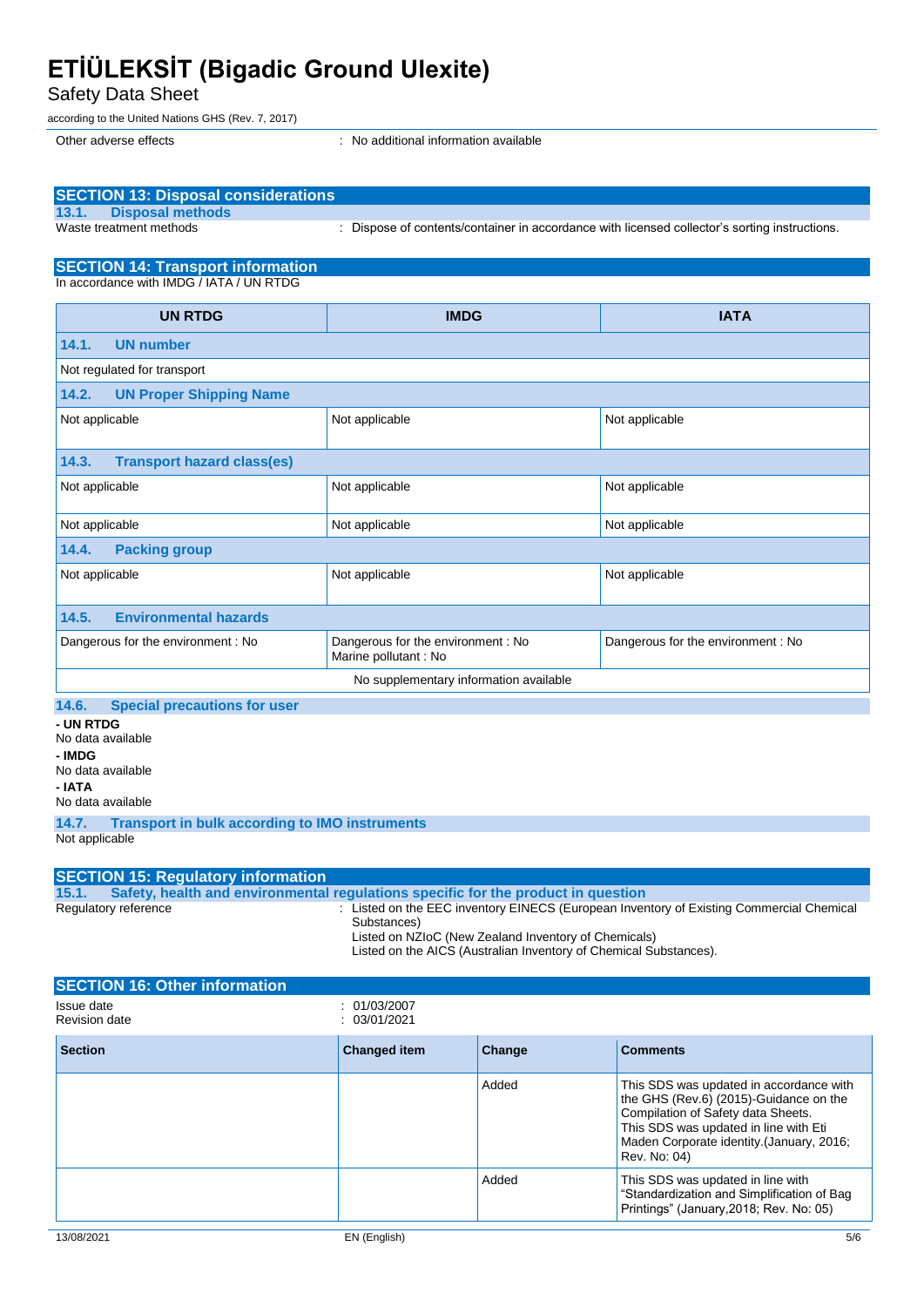Safety Data Sheet

according to the United Nations GHS (Rev. 7, 2017)

Other adverse effects in the state of the state of the state of the state of the state of the state of the state of the state of the state of the state of the state of the state of the state of the state of the state of th

| <b>SECTION 13: Disposal considerations</b><br><b>Disposal methods</b><br>13.1.               |                                                                                   |                                                                                               |                                                                                                                                                                                                                               |  |
|----------------------------------------------------------------------------------------------|-----------------------------------------------------------------------------------|-----------------------------------------------------------------------------------------------|-------------------------------------------------------------------------------------------------------------------------------------------------------------------------------------------------------------------------------|--|
| Waste treatment methods                                                                      |                                                                                   | : Dispose of contents/container in accordance with licensed collector's sorting instructions. |                                                                                                                                                                                                                               |  |
| <b>SECTION 14: Transport information</b>                                                     |                                                                                   |                                                                                               |                                                                                                                                                                                                                               |  |
| In accordance with IMDG / IATA / UN RTDG                                                     |                                                                                   |                                                                                               |                                                                                                                                                                                                                               |  |
| <b>UN RTDG</b>                                                                               |                                                                                   | <b>IMDG</b>                                                                                   | <b>IATA</b>                                                                                                                                                                                                                   |  |
| 14.1.<br><b>UN number</b>                                                                    |                                                                                   |                                                                                               |                                                                                                                                                                                                                               |  |
| Not regulated for transport                                                                  |                                                                                   |                                                                                               |                                                                                                                                                                                                                               |  |
| 14.2.<br><b>UN Proper Shipping Name</b>                                                      |                                                                                   |                                                                                               |                                                                                                                                                                                                                               |  |
| Not applicable                                                                               | Not applicable                                                                    |                                                                                               | Not applicable                                                                                                                                                                                                                |  |
| 14.3.<br><b>Transport hazard class(es)</b>                                                   |                                                                                   |                                                                                               |                                                                                                                                                                                                                               |  |
| Not applicable                                                                               | Not applicable                                                                    |                                                                                               | Not applicable                                                                                                                                                                                                                |  |
| Not applicable                                                                               | Not applicable                                                                    |                                                                                               | Not applicable                                                                                                                                                                                                                |  |
| 14.4.<br><b>Packing group</b>                                                                |                                                                                   |                                                                                               |                                                                                                                                                                                                                               |  |
| Not applicable                                                                               | Not applicable                                                                    |                                                                                               | Not applicable                                                                                                                                                                                                                |  |
| <b>Environmental hazards</b><br>14.5.                                                        |                                                                                   |                                                                                               |                                                                                                                                                                                                                               |  |
| Dangerous for the environment: No                                                            | Dangerous for the environment : No<br>Marine pollutant : No                       |                                                                                               | Dangerous for the environment: No                                                                                                                                                                                             |  |
|                                                                                              |                                                                                   | No supplementary information available                                                        |                                                                                                                                                                                                                               |  |
| 14.6.<br><b>Special precautions for user</b>                                                 |                                                                                   |                                                                                               |                                                                                                                                                                                                                               |  |
| - UN RTDG<br>No data available<br>- IMDG<br>No data available<br>- IATA<br>No data available |                                                                                   |                                                                                               |                                                                                                                                                                                                                               |  |
| 14.7.<br><b>Transport in bulk according to IMO instruments</b><br>Not applicable             |                                                                                   |                                                                                               |                                                                                                                                                                                                                               |  |
|                                                                                              |                                                                                   |                                                                                               |                                                                                                                                                                                                                               |  |
| <b>SECTION 15: Regulatory information</b><br>15.1.                                           | Safety, health and environmental regulations specific for the product in question |                                                                                               |                                                                                                                                                                                                                               |  |
| Regulatory reference                                                                         | Substances)                                                                       | Listed on NZIoC (New Zealand Inventory of Chemicals)                                          | : Listed on the EEC inventory EINECS (European Inventory of Existing Commercial Chemical<br>Listed on the AICS (Australian Inventory of Chemical Substances).                                                                 |  |
| <b>SECTION 16: Other information</b>                                                         |                                                                                   |                                                                                               |                                                                                                                                                                                                                               |  |
| Issue date<br><b>Revision date</b>                                                           | : 01/03/2007<br>: 03/01/2021                                                      |                                                                                               |                                                                                                                                                                                                                               |  |
| <b>Section</b>                                                                               | <b>Changed item</b>                                                               | Change                                                                                        | <b>Comments</b>                                                                                                                                                                                                               |  |
|                                                                                              |                                                                                   | Added                                                                                         | This SDS was updated in accordance with<br>the GHS (Rev.6) (2015)-Guidance on the<br>Compilation of Safety data Sheets.<br>This SDS was updated in line with Eti<br>Maden Corporate identity. (January, 2016;<br>Rev. No: 04) |  |

Added This SDS was updated in line with

"Standardization and Simplification of Bag Printings" (January,2018; Rev. No: 05)